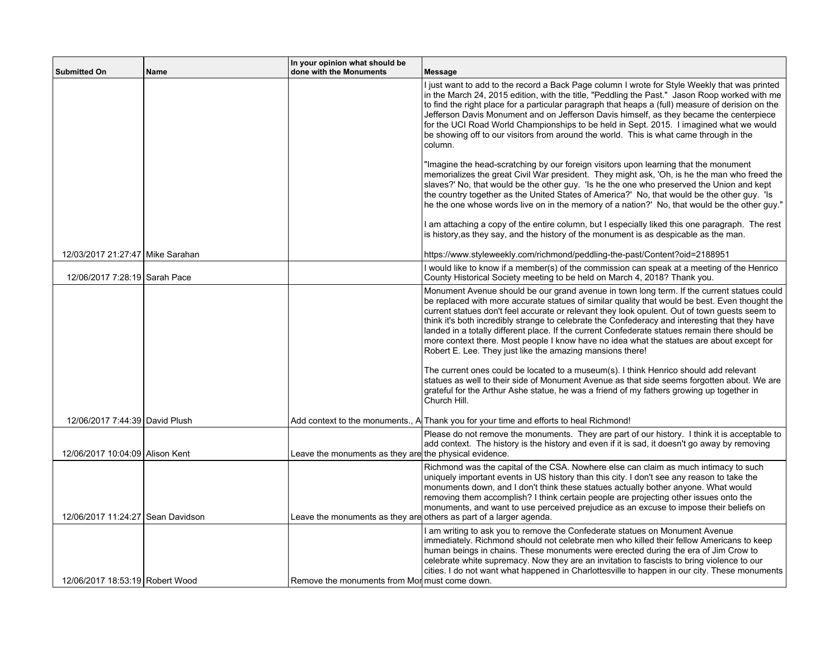| <b>Submitted On</b>               | Name | In your opinion what should be<br>done with the Monuments | Message                                                                                                                                                                                                                                                                                                                                                                                                                                                                                                                                                                                                                                                                                                                                                                                                                                                                                                                                                          |
|-----------------------------------|------|-----------------------------------------------------------|------------------------------------------------------------------------------------------------------------------------------------------------------------------------------------------------------------------------------------------------------------------------------------------------------------------------------------------------------------------------------------------------------------------------------------------------------------------------------------------------------------------------------------------------------------------------------------------------------------------------------------------------------------------------------------------------------------------------------------------------------------------------------------------------------------------------------------------------------------------------------------------------------------------------------------------------------------------|
|                                   |      |                                                           | I just want to add to the record a Back Page column I wrote for Style Weekly that was printed<br>in the March 24, 2015 edition, with the title, "Peddling the Past." Jason Roop worked with me<br>to find the right place for a particular paragraph that heaps a (full) measure of derision on the<br>Jefferson Davis Monument and on Jefferson Davis himself, as they became the centerpiece<br>for the UCI Road World Championships to be held in Sept. 2015. I imagined what we would<br>be showing off to our visitors from around the world. This is what came through in the<br>column.                                                                                                                                                                                                                                                                                                                                                                   |
|                                   |      |                                                           | "Imagine the head-scratching by our foreign visitors upon learning that the monument<br>memorializes the great Civil War president. They might ask, 'Oh, is he the man who freed the<br>slaves?' No, that would be the other guy. 'Is he the one who preserved the Union and kept<br>the country together as the United States of America?' No, that would be the other guy. 'Is<br>he the one whose words live on in the memory of a nation?' No, that would be the other guy."                                                                                                                                                                                                                                                                                                                                                                                                                                                                                 |
|                                   |      |                                                           | I am attaching a copy of the entire column, but I especially liked this one paragraph. The rest<br>is history, as they say, and the history of the monument is as despicable as the man.                                                                                                                                                                                                                                                                                                                                                                                                                                                                                                                                                                                                                                                                                                                                                                         |
| 12/03/2017 21:27:47 Mike Sarahan  |      |                                                           | https://www.styleweekly.com/richmond/peddling-the-past/Content?oid=2188951                                                                                                                                                                                                                                                                                                                                                                                                                                                                                                                                                                                                                                                                                                                                                                                                                                                                                       |
| 12/06/2017 7:28:19 Sarah Pace     |      |                                                           | I would like to know if a member(s) of the commission can speak at a meeting of the Henrico<br>County Historical Society meeting to be held on March 4, 2018? Thank you.                                                                                                                                                                                                                                                                                                                                                                                                                                                                                                                                                                                                                                                                                                                                                                                         |
|                                   |      |                                                           | Monument Avenue should be our grand avenue in town long term. If the current statues could<br>be replaced with more accurate statues of similar quality that would be best. Even thought the<br>current statues don't feel accurate or relevant they look opulent. Out of town guests seem to<br>think it's both incredibly strange to celebrate the Confederacy and interesting that they have<br>landed in a totally different place. If the current Confederate statues remain there should be<br>more context there. Most people I know have no idea what the statues are about except for<br>Robert E. Lee. They just like the amazing mansions there!<br>The current ones could be located to a museum(s). I think Henrico should add relevant<br>statues as well to their side of Monument Avenue as that side seems forgotten about. We are<br>grateful for the Arthur Ashe statue, he was a friend of my fathers growing up together in<br>Church Hill. |
| 12/06/2017 7:44:39 David Plush    |      |                                                           | Add context to the monuments., A Thank you for your time and efforts to heal Richmond!                                                                                                                                                                                                                                                                                                                                                                                                                                                                                                                                                                                                                                                                                                                                                                                                                                                                           |
| 12/06/2017 10:04:09 Alison Kent   |      | Leave the monuments as they are the physical evidence.    | Please do not remove the monuments. They are part of our history. I think it is acceptable to<br>add context. The history is the history and even if it is sad, it doesn't go away by removing                                                                                                                                                                                                                                                                                                                                                                                                                                                                                                                                                                                                                                                                                                                                                                   |
| 12/06/2017 11:24:27 Sean Davidson |      |                                                           | Richmond was the capital of the CSA. Nowhere else can claim as much intimacy to such<br>uniquely important events in US history than this city. I don't see any reason to take the<br>monuments down, and I don't think these statues actually bother anyone. What would<br>removing them accomplish? I think certain people are projecting other issues onto the<br>monuments, and want to use perceived prejudice as an excuse to impose their beliefs on<br>Leave the monuments as they are others as part of a larger agenda.                                                                                                                                                                                                                                                                                                                                                                                                                                |
| 12/06/2017 18:53:19 Robert Wood   |      | Remove the monuments from Morm must come down.            | I am writing to ask you to remove the Confederate statues on Monument Avenue<br>immediately. Richmond should not celebrate men who killed their fellow Americans to keep<br>human beings in chains. These monuments were erected during the era of Jim Crow to<br>celebrate white supremacy. Now they are an invitation to fascists to bring violence to our<br>cities. I do not want what happened in Charlottesville to happen in our city. These monuments                                                                                                                                                                                                                                                                                                                                                                                                                                                                                                    |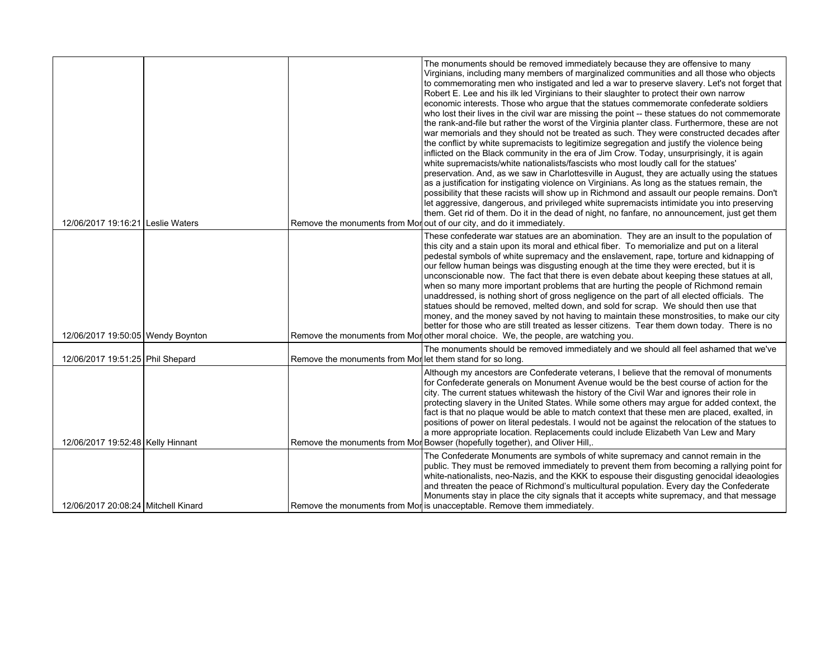|                                     |                                                           | The monuments should be removed immediately because they are offensive to many<br>Virginians, including many members of marginalized communities and all those who objects<br>to commemorating men who instigated and led a war to preserve slavery. Let's not forget that<br>Robert E. Lee and his ilk led Virginians to their slaughter to protect their own narrow<br>economic interests. Those who argue that the statues commemorate confederate soldiers<br>who lost their lives in the civil war are missing the point -- these statues do not commemorate<br>the rank-and-file but rather the worst of the Virginia planter class. Furthermore, these are not<br>war memorials and they should not be treated as such. They were constructed decades after<br>the conflict by white supremacists to legitimize segregation and justify the violence being<br>inflicted on the Black community in the era of Jim Crow. Today, unsurprisingly, it is again<br>white supremacists/white nationalists/fascists who most loudly call for the statues'<br>preservation. And, as we saw in Charlottesville in August, they are actually using the statues<br>as a justification for instigating violence on Virginians. As long as the statues remain, the<br>possibility that these racists will show up in Richmond and assault our people remains. Don't<br>let aggressive, dangerous, and privileged white supremacists intimidate you into preserving<br>them. Get rid of them. Do it in the dead of night, no fanfare, no announcement, just get them |
|-------------------------------------|-----------------------------------------------------------|--------------------------------------------------------------------------------------------------------------------------------------------------------------------------------------------------------------------------------------------------------------------------------------------------------------------------------------------------------------------------------------------------------------------------------------------------------------------------------------------------------------------------------------------------------------------------------------------------------------------------------------------------------------------------------------------------------------------------------------------------------------------------------------------------------------------------------------------------------------------------------------------------------------------------------------------------------------------------------------------------------------------------------------------------------------------------------------------------------------------------------------------------------------------------------------------------------------------------------------------------------------------------------------------------------------------------------------------------------------------------------------------------------------------------------------------------------------------------------------------------------------------------------------------------------------|
| 12/06/2017 19:16:21 Leslie Waters   |                                                           | Remove the monuments from Mor out of our city, and do it immediately.                                                                                                                                                                                                                                                                                                                                                                                                                                                                                                                                                                                                                                                                                                                                                                                                                                                                                                                                                                                                                                                                                                                                                                                                                                                                                                                                                                                                                                                                                        |
| 12/06/2017 19:50:05 Wendy Boynton   |                                                           | These confederate war statues are an abomination. They are an insult to the population of<br>this city and a stain upon its moral and ethical fiber. To memorialize and put on a literal<br>pedestal symbols of white supremacy and the enslavement, rape, torture and kidnapping of<br>our fellow human beings was disgusting enough at the time they were erected, but it is<br>unconscionable now. The fact that there is even debate about keeping these statues at all,<br>when so many more important problems that are hurting the people of Richmond remain<br>unaddressed, is nothing short of gross negligence on the part of all elected officials. The<br>statues should be removed, melted down, and sold for scrap. We should then use that<br>money, and the money saved by not having to maintain these monstrosities, to make our city<br>better for those who are still treated as lesser citizens. Tear them down today. There is no<br>Remove the monuments from Mor other moral choice. We, the people, are watching you.                                                                                                                                                                                                                                                                                                                                                                                                                                                                                                               |
|                                     |                                                           | The monuments should be removed immediately and we should all feel ashamed that we've                                                                                                                                                                                                                                                                                                                                                                                                                                                                                                                                                                                                                                                                                                                                                                                                                                                                                                                                                                                                                                                                                                                                                                                                                                                                                                                                                                                                                                                                        |
| 12/06/2017 19:51:25 Phil Shepard    | Remove the monuments from Mor let them stand for so long. |                                                                                                                                                                                                                                                                                                                                                                                                                                                                                                                                                                                                                                                                                                                                                                                                                                                                                                                                                                                                                                                                                                                                                                                                                                                                                                                                                                                                                                                                                                                                                              |
| 12/06/2017 19:52:48 Kelly Hinnant   |                                                           | Although my ancestors are Confederate veterans, I believe that the removal of monuments<br>for Confederate generals on Monument Avenue would be the best course of action for the<br>city. The current statues whitewash the history of the Civil War and ignores their role in<br>protecting slavery in the United States. While some others may argue for added context, the<br>fact is that no plague would be able to match context that these men are placed, exalted, in<br>positions of power on literal pedestals. I would not be against the relocation of the statues to<br>a more appropriate location. Replacements could include Elizabeth Van Lew and Mary<br>Remove the monuments from Mor Bowser (hopefully together), and Oliver Hill,.                                                                                                                                                                                                                                                                                                                                                                                                                                                                                                                                                                                                                                                                                                                                                                                                     |
| 12/06/2017 20:08:24 Mitchell Kinard |                                                           | The Confederate Monuments are symbols of white supremacy and cannot remain in the<br>public. They must be removed immediately to prevent them from becoming a rallying point for<br>white-nationalists, neo-Nazis, and the KKK to espouse their disgusting genocidal ideaologies<br>and threaten the peace of Richmond's multicultural population. Every day the Confederate<br>Monuments stay in place the city signals that it accepts white supremacy, and that message<br>Remove the monuments from Mor is unacceptable. Remove them immediately.                                                                                                                                                                                                                                                                                                                                                                                                                                                                                                                                                                                                                                                                                                                                                                                                                                                                                                                                                                                                        |
|                                     |                                                           |                                                                                                                                                                                                                                                                                                                                                                                                                                                                                                                                                                                                                                                                                                                                                                                                                                                                                                                                                                                                                                                                                                                                                                                                                                                                                                                                                                                                                                                                                                                                                              |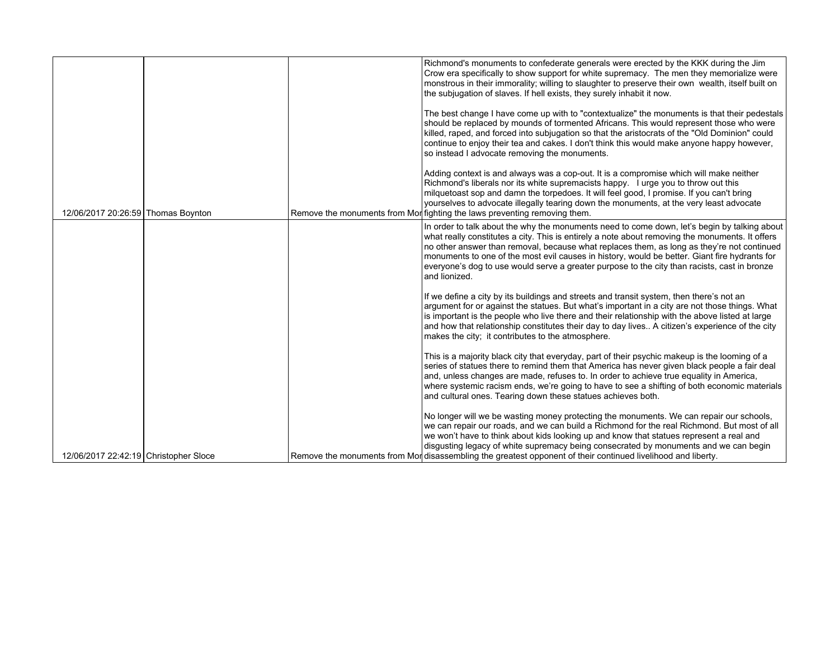|                                       |  | Richmond's monuments to confederate generals were erected by the KKK during the Jim<br>Crow era specifically to show support for white supremacy. The men they memorialize were<br>monstrous in their immorality; willing to slaughter to preserve their own wealth, itself built on<br>the subjugation of slaves. If hell exists, they surely inhabit it now.                                                                                                                                                  |
|---------------------------------------|--|-----------------------------------------------------------------------------------------------------------------------------------------------------------------------------------------------------------------------------------------------------------------------------------------------------------------------------------------------------------------------------------------------------------------------------------------------------------------------------------------------------------------|
|                                       |  | The best change I have come up with to "contextualize" the monuments is that their pedestals<br>should be replaced by mounds of tormented Africans. This would represent those who were<br>killed, raped, and forced into subjugation so that the aristocrats of the "Old Dominion" could<br>continue to enjoy their tea and cakes. I don't think this would make anyone happy however,<br>so instead I advocate removing the monuments.                                                                        |
| 12/06/2017 20:26:59 Thomas Boynton    |  | Adding context is and always was a cop-out. It is a compromise which will make neither<br>Richmond's liberals nor its white supremacists happy. I urge you to throw out this<br>milguetoast sop and damn the torpedoes. It will feel good, I promise. If you can't bring<br>yourselves to advocate illegally tearing down the monuments, at the very least advocate<br>Remove the monuments from Mor fighting the laws preventing removing them.                                                                |
|                                       |  | In order to talk about the why the monuments need to come down, let's begin by talking about<br>what really constitutes a city. This is entirely a note about removing the monuments. It offers<br>no other answer than removal, because what replaces them, as long as they're not continued<br>monuments to one of the most evil causes in history, would be better. Giant fire hydrants for<br>everyone's dog to use would serve a greater purpose to the city than racists, cast in bronze<br>and lionized. |
|                                       |  | If we define a city by its buildings and streets and transit system, then there's not an<br>argument for or against the statues. But what's important in a city are not those things. What<br>is important is the people who live there and their relationship with the above listed at large<br>and how that relationship constitutes their day to day lives A citizen's experience of the city<br>makes the city; it contributes to the atmosphere.                                                           |
|                                       |  | This is a majority black city that everyday, part of their psychic makeup is the looming of a<br>series of statues there to remind them that America has never given black people a fair deal<br>and, unless changes are made, refuses to. In order to achieve true equality in America,<br>where systemic racism ends, we're going to have to see a shifting of both economic materials<br>and cultural ones. Tearing down these statues achieves both.                                                        |
| 12/06/2017 22:42:19 Christopher Sloce |  | No longer will we be wasting money protecting the monuments. We can repair our schools,<br>we can repair our roads, and we can build a Richmond for the real Richmond. But most of all<br>we won't have to think about kids looking up and know that statues represent a real and<br>disgusting legacy of white supremacy being consecrated by monuments and we can begin<br>Remove the monuments from Mor disassembling the greatest opponent of their continued livelihood and liberty.                       |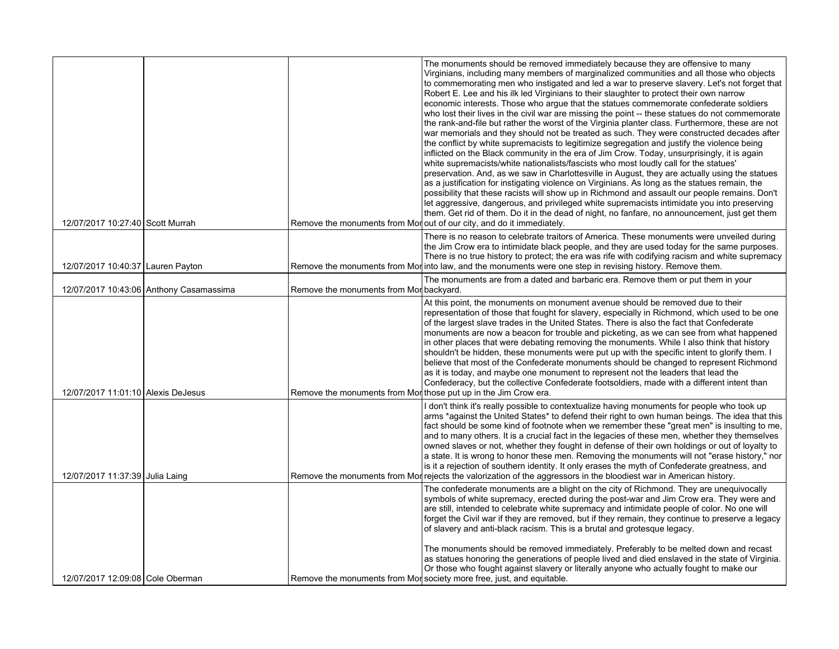|                                                                                                                                                                                                                               | The monuments should be removed immediately because they are offensive to many<br>Virginians, including many members of marginalized communities and all those who objects<br>to commemorating men who instigated and led a war to preserve slavery. Let's not forget that<br>Robert E. Lee and his ilk led Virginians to their slaughter to protect their own narrow<br>economic interests. Those who argue that the statues commemorate confederate soldiers<br>who lost their lives in the civil war are missing the point -- these statues do not commemorate<br>the rank-and-file but rather the worst of the Virginia planter class. Furthermore, these are not<br>war memorials and they should not be treated as such. They were constructed decades after<br>the conflict by white supremacists to legitimize segregation and justify the violence being<br>inflicted on the Black community in the era of Jim Crow. Today, unsurprisingly, it is again<br>white supremacists/white nationalists/fascists who most loudly call for the statues'<br>preservation. And, as we saw in Charlottesville in August, they are actually using the statues<br>as a justification for instigating violence on Virginians. As long as the statues remain, the<br>possibility that these racists will show up in Richmond and assault our people remains. Don't<br>let aggressive, dangerous, and privileged white supremacists intimidate you into preserving<br>them. Get rid of them. Do it in the dead of night, no fanfare, no announcement, just get them<br>Remove the monuments from Mor out of our city, and do it immediately. |
|-------------------------------------------------------------------------------------------------------------------------------------------------------------------------------------------------------------------------------|---------------------------------------------------------------------------------------------------------------------------------------------------------------------------------------------------------------------------------------------------------------------------------------------------------------------------------------------------------------------------------------------------------------------------------------------------------------------------------------------------------------------------------------------------------------------------------------------------------------------------------------------------------------------------------------------------------------------------------------------------------------------------------------------------------------------------------------------------------------------------------------------------------------------------------------------------------------------------------------------------------------------------------------------------------------------------------------------------------------------------------------------------------------------------------------------------------------------------------------------------------------------------------------------------------------------------------------------------------------------------------------------------------------------------------------------------------------------------------------------------------------------------------------------------------------------------------------------------------------------------------------|
|                                                                                                                                                                                                                               | There is no reason to celebrate traitors of America. These monuments were unveiled during                                                                                                                                                                                                                                                                                                                                                                                                                                                                                                                                                                                                                                                                                                                                                                                                                                                                                                                                                                                                                                                                                                                                                                                                                                                                                                                                                                                                                                                                                                                                             |
|                                                                                                                                                                                                                               | the Jim Crow era to intimidate black people, and they are used today for the same purposes.<br>There is no true history to protect; the era was rife with codifying racism and white supremacy<br>Remove the monuments from Mor into law, and the monuments were one step in revising history. Remove them.                                                                                                                                                                                                                                                                                                                                                                                                                                                                                                                                                                                                                                                                                                                                                                                                                                                                                                                                                                                                                                                                                                                                                                                                                                                                                                                           |
|                                                                                                                                                                                                                               | The monuments are from a dated and barbaric era. Remove them or put them in your                                                                                                                                                                                                                                                                                                                                                                                                                                                                                                                                                                                                                                                                                                                                                                                                                                                                                                                                                                                                                                                                                                                                                                                                                                                                                                                                                                                                                                                                                                                                                      |
| Remove the monuments from Mort those put up in the Jim Crow era.                                                                                                                                                              | At this point, the monuments on monument avenue should be removed due to their<br>representation of those that fought for slavery, especially in Richmond, which used to be one<br>of the largest slave trades in the United States. There is also the fact that Confederate<br>monuments are now a beacon for trouble and picketing, as we can see from what happened<br>in other places that were debating removing the monuments. While I also think that history<br>shouldn't be hidden, these monuments were put up with the specific intent to glorify them. I<br>believe that most of the Confederate monuments should be changed to represent Richmond<br>as it is today, and maybe one monument to represent not the leaders that lead the<br>Confederacy, but the collective Confederate footsoldiers, made with a different intent than                                                                                                                                                                                                                                                                                                                                                                                                                                                                                                                                                                                                                                                                                                                                                                                    |
|                                                                                                                                                                                                                               | I don't think it's really possible to contextualize having monuments for people who took up<br>arms *against the United States* to defend their right to own human beings. The idea that this<br>fact should be some kind of footnote when we remember these "great men" is insulting to me,<br>and to many others. It is a crucial fact in the legacies of these men, whether they themselves<br>owned slaves or not, whether they fought in defense of their own holdings or out of loyalty to<br>a state. It is wrong to honor these men. Removing the monuments will not "erase history," nor<br>is it a rejection of southern identity. It only erases the myth of Confederate greatness, and<br>Remove the monuments from Mon rejects the valorization of the aggressors in the bloodiest war in American history.                                                                                                                                                                                                                                                                                                                                                                                                                                                                                                                                                                                                                                                                                                                                                                                                              |
|                                                                                                                                                                                                                               | The confederate monuments are a blight on the city of Richmond. They are unequivocally<br>symbols of white supremacy, erected during the post-war and Jim Crow era. They were and<br>are still, intended to celebrate white supremacy and intimidate people of color. No one will<br>forget the Civil war if they are removed, but if they remain, they continue to preserve a legacy<br>of slavery and anti-black racism. This is a brutal and grotesque legacy.<br>The monuments should be removed immediately. Preferably to be melted down and recast<br>as statues honoring the generations of people lived and died enslaved in the state of Virginia.<br>Or those who fought against slavery or literally anyone who actually fought to make our                                                                                                                                                                                                                                                                                                                                                                                                                                                                                                                                                                                                                                                                                                                                                                                                                                                                               |
| 12/07/2017 10:27:40 Scott Murrah<br>12/07/2017 10:40:37 Lauren Payton<br>12/07/2017 10:43:06 Anthony Casamassima<br>12/07/2017 11:01:10 Alexis DeJesus<br>12/07/2017 11:37:39 Julia Laing<br>12/07/2017 12:09:08 Cole Oberman | Remove the monuments from Mor backyard.<br>Remove the monuments from Mor society more free, just, and equitable.                                                                                                                                                                                                                                                                                                                                                                                                                                                                                                                                                                                                                                                                                                                                                                                                                                                                                                                                                                                                                                                                                                                                                                                                                                                                                                                                                                                                                                                                                                                      |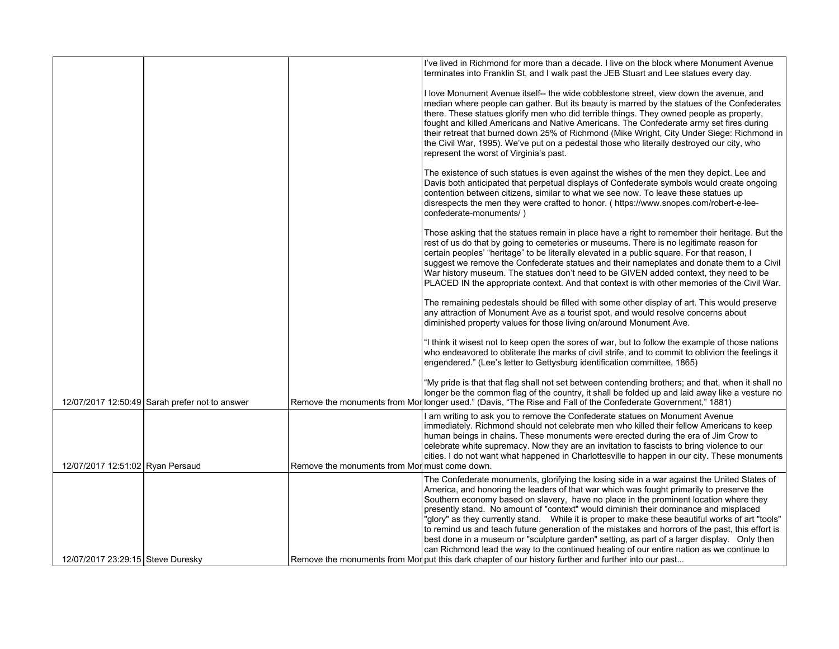|                                   |                                                |                                              | I've lived in Richmond for more than a decade. I live on the block where Monument Avenue<br>terminates into Franklin St, and I walk past the JEB Stuart and Lee statues every day.                                                                                                                                                                                                                                                                                                                                                                                                                                                                                                                                                                                                                                                                                                   |
|-----------------------------------|------------------------------------------------|----------------------------------------------|--------------------------------------------------------------------------------------------------------------------------------------------------------------------------------------------------------------------------------------------------------------------------------------------------------------------------------------------------------------------------------------------------------------------------------------------------------------------------------------------------------------------------------------------------------------------------------------------------------------------------------------------------------------------------------------------------------------------------------------------------------------------------------------------------------------------------------------------------------------------------------------|
|                                   |                                                |                                              | I love Monument Avenue itself-- the wide cobblestone street, view down the avenue, and<br>median where people can gather. But its beauty is marred by the statues of the Confederates<br>there. These statues glorify men who did terrible things. They owned people as property,<br>fought and killed Americans and Native Americans. The Confederate army set fires during<br>their retreat that burned down 25% of Richmond (Mike Wright, City Under Siege: Richmond in<br>the Civil War, 1995). We've put on a pedestal those who literally destroyed our city, who<br>represent the worst of Virginia's past.                                                                                                                                                                                                                                                                   |
|                                   |                                                |                                              | The existence of such statues is even against the wishes of the men they depict. Lee and<br>Davis both anticipated that perpetual displays of Confederate symbols would create ongoing<br>contention between citizens, similar to what we see now. To leave these statues up<br>disrespects the men they were crafted to honor. ( https://www.snopes.com/robert-e-lee-<br>confederate-monuments/)                                                                                                                                                                                                                                                                                                                                                                                                                                                                                    |
|                                   |                                                |                                              | Those asking that the statues remain in place have a right to remember their heritage. But the<br>rest of us do that by going to cemeteries or museums. There is no legitimate reason for<br>certain peoples' "heritage" to be literally elevated in a public square. For that reason, I<br>suggest we remove the Confederate statues and their nameplates and donate them to a Civil<br>War history museum. The statues don't need to be GIVEN added context, they need to be<br>PLACED IN the appropriate context. And that context is with other memories of the Civil War.                                                                                                                                                                                                                                                                                                       |
|                                   |                                                |                                              | The remaining pedestals should be filled with some other display of art. This would preserve<br>any attraction of Monument Ave as a tourist spot, and would resolve concerns about<br>diminished property values for those living on/around Monument Ave.                                                                                                                                                                                                                                                                                                                                                                                                                                                                                                                                                                                                                            |
|                                   |                                                |                                              | "I think it wisest not to keep open the sores of war, but to follow the example of those nations<br>who endeavored to obliterate the marks of civil strife, and to commit to oblivion the feelings it<br>engendered." (Lee's letter to Gettysburg identification committee, 1865)                                                                                                                                                                                                                                                                                                                                                                                                                                                                                                                                                                                                    |
|                                   | 12/07/2017 12:50:49 Sarah prefer not to answer |                                              | "My pride is that that flag shall not set between contending brothers; and that, when it shall no<br>longer be the common flag of the country, it shall be folded up and laid away like a vesture no<br>Remove the monuments from Mor longer used." (Davis, "The Rise and Fall of the Confederate Government," 1881)                                                                                                                                                                                                                                                                                                                                                                                                                                                                                                                                                                 |
|                                   |                                                |                                              | I am writing to ask you to remove the Confederate statues on Monument Avenue<br>immediately. Richmond should not celebrate men who killed their fellow Americans to keep<br>human beings in chains. These monuments were erected during the era of Jim Crow to<br>celebrate white supremacy. Now they are an invitation to fascists to bring violence to our<br>cities. I do not want what happened in Charlottesville to happen in our city. These monuments                                                                                                                                                                                                                                                                                                                                                                                                                        |
| 12/07/2017 12:51:02 Ryan Persaud  |                                                | Remove the monuments from Mormust come down. |                                                                                                                                                                                                                                                                                                                                                                                                                                                                                                                                                                                                                                                                                                                                                                                                                                                                                      |
| 12/07/2017 23:29:15 Steve Duresky |                                                |                                              | The Confederate monuments, glorifying the losing side in a war against the United States of<br>America, and honoring the leaders of that war which was fought primarily to preserve the<br>Southern economy based on slavery, have no place in the prominent location where they<br>presently stand. No amount of "context" would diminish their dominance and misplaced<br>"glory" as they currently stand. While it is proper to make these beautiful works of art "tools"<br>to remind us and teach future generation of the mistakes and horrors of the past, this effort is<br>best done in a museum or "sculpture garden" setting, as part of a larger display. Only then<br>can Richmond lead the way to the continued healing of our entire nation as we continue to<br>Remove the monuments from Mor put this dark chapter of our history further and further into our past |
|                                   |                                                |                                              |                                                                                                                                                                                                                                                                                                                                                                                                                                                                                                                                                                                                                                                                                                                                                                                                                                                                                      |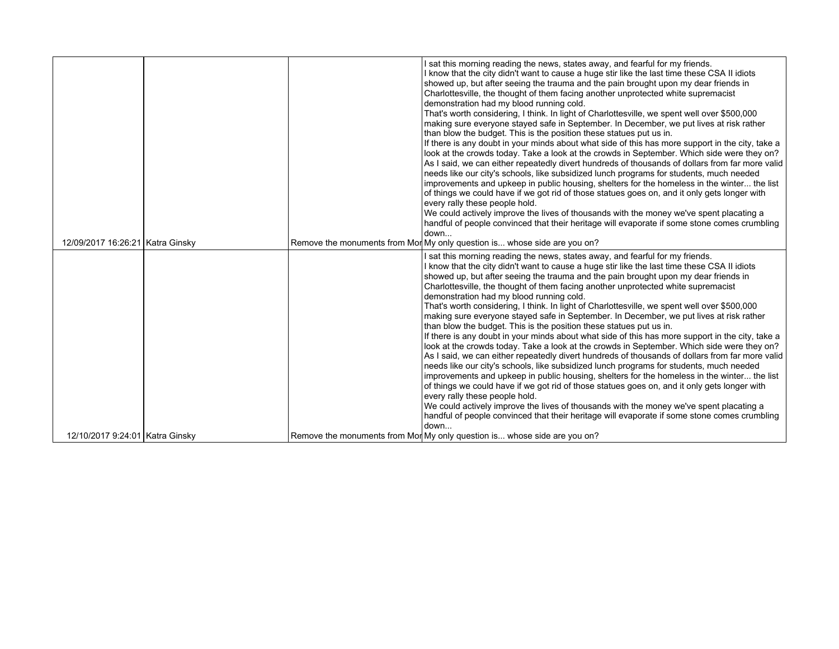|                                  |  | I sat this morning reading the news, states away, and fearful for my friends.<br>I know that the city didn't want to cause a huge stir like the last time these CSA II idiots<br>showed up, but after seeing the trauma and the pain brought upon my dear friends in<br>Charlottesville, the thought of them facing another unprotected white supremacist<br>demonstration had my blood running cold.<br>That's worth considering, I think. In light of Charlottesville, we spent well over \$500,000<br>making sure everyone stayed safe in September. In December, we put lives at risk rather<br>than blow the budget. This is the position these statues put us in.<br>If there is any doubt in your minds about what side of this has more support in the city, take a<br>look at the crowds today. Take a look at the crowds in September. Which side were they on?<br>As I said, we can either repeatedly divert hundreds of thousands of dollars from far more valid<br>needs like our city's schools, like subsidized lunch programs for students, much needed<br>improvements and upkeep in public housing, shelters for the homeless in the winter the list<br>of things we could have if we got rid of those statues goes on, and it only gets longer with<br>every rally these people hold.<br>We could actively improve the lives of thousands with the money we've spent placating a<br>handful of people convinced that their heritage will evaporate if some stone comes crumbling<br>down |
|----------------------------------|--|-------------------------------------------------------------------------------------------------------------------------------------------------------------------------------------------------------------------------------------------------------------------------------------------------------------------------------------------------------------------------------------------------------------------------------------------------------------------------------------------------------------------------------------------------------------------------------------------------------------------------------------------------------------------------------------------------------------------------------------------------------------------------------------------------------------------------------------------------------------------------------------------------------------------------------------------------------------------------------------------------------------------------------------------------------------------------------------------------------------------------------------------------------------------------------------------------------------------------------------------------------------------------------------------------------------------------------------------------------------------------------------------------------------------------------------------------------------------------------------------------------------|
| 12/09/2017 16:26:21 Katra Ginsky |  | Remove the monuments from Mor My only question is whose side are you on?                                                                                                                                                                                                                                                                                                                                                                                                                                                                                                                                                                                                                                                                                                                                                                                                                                                                                                                                                                                                                                                                                                                                                                                                                                                                                                                                                                                                                                    |
|                                  |  | I sat this morning reading the news, states away, and fearful for my friends.<br>I know that the city didn't want to cause a huge stir like the last time these CSA II idiots<br>showed up, but after seeing the trauma and the pain brought upon my dear friends in<br>Charlottesville, the thought of them facing another unprotected white supremacist<br>demonstration had my blood running cold.<br>That's worth considering, I think. In light of Charlottesville, we spent well over \$500,000<br>making sure everyone stayed safe in September. In December, we put lives at risk rather<br>than blow the budget. This is the position these statues put us in.<br>If there is any doubt in your minds about what side of this has more support in the city, take a<br>look at the crowds today. Take a look at the crowds in September. Which side were they on?<br>As I said, we can either repeatedly divert hundreds of thousands of dollars from far more valid<br>needs like our city's schools, like subsidized lunch programs for students, much needed<br>improvements and upkeep in public housing, shelters for the homeless in the winter the list<br>of things we could have if we got rid of those statues goes on, and it only gets longer with<br>every rally these people hold.<br>We could actively improve the lives of thousands with the money we've spent placating a<br>handful of people convinced that their heritage will evaporate if some stone comes crumbling<br>down |
| 12/10/2017 9:24:01 Katra Ginsky  |  | Remove the monuments from Mor My only question is whose side are you on?                                                                                                                                                                                                                                                                                                                                                                                                                                                                                                                                                                                                                                                                                                                                                                                                                                                                                                                                                                                                                                                                                                                                                                                                                                                                                                                                                                                                                                    |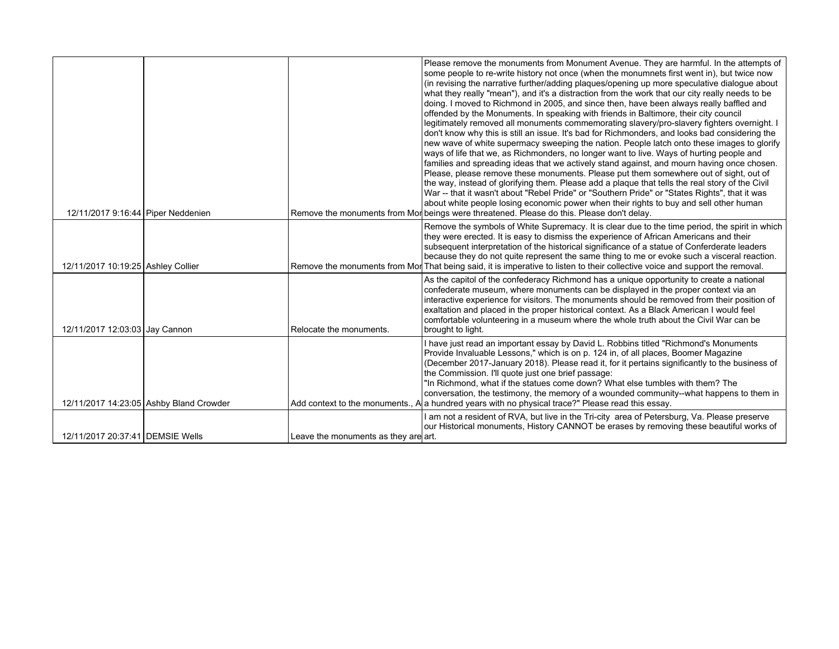| 12/11/2017 9:16:44 Piper Neddenien |                                         |                                      | Please remove the monuments from Monument Avenue. They are harmful. In the attempts of<br>some people to re-write history not once (when the monumnets first went in), but twice now<br>(in revising the narrative further/adding plaques/opening up more speculative dialogue about<br>what they really "mean"), and it's a distraction from the work that our city really needs to be<br>doing. I moved to Richmond in 2005, and since then, have been always really baffled and<br>offended by the Monuments. In speaking with friends in Baltimore, their city council<br>legitimately removed all monuments commemorating slavery/pro-slavery fighters overnight. I<br>don't know why this is still an issue. It's bad for Richmonders, and looks bad considering the<br>new wave of white supermacy sweeping the nation. People latch onto these images to glorify<br>ways of life that we, as Richmonders, no longer want to live. Ways of hurting people and<br>families and spreading ideas that we actively stand against, and mourn having once chosen.<br>Please, please remove these monuments. Please put them somewhere out of sight, out of<br>the way, instead of glorifying them. Please add a plaque that tells the real story of the Civil<br>War -- that it wasn't about "Rebel Pride" or "Southern Pride" or "States Rights", that it was<br>about white people losing economic power when their rights to buy and sell other human<br>Remove the monuments from Mor beings were threatened. Please do this. Please don't delay. |
|------------------------------------|-----------------------------------------|--------------------------------------|--------------------------------------------------------------------------------------------------------------------------------------------------------------------------------------------------------------------------------------------------------------------------------------------------------------------------------------------------------------------------------------------------------------------------------------------------------------------------------------------------------------------------------------------------------------------------------------------------------------------------------------------------------------------------------------------------------------------------------------------------------------------------------------------------------------------------------------------------------------------------------------------------------------------------------------------------------------------------------------------------------------------------------------------------------------------------------------------------------------------------------------------------------------------------------------------------------------------------------------------------------------------------------------------------------------------------------------------------------------------------------------------------------------------------------------------------------------------------------------------------------------------------------------------------------|
|                                    |                                         |                                      | Remove the symbols of White Supremacy. It is clear due to the time period, the spirit in which                                                                                                                                                                                                                                                                                                                                                                                                                                                                                                                                                                                                                                                                                                                                                                                                                                                                                                                                                                                                                                                                                                                                                                                                                                                                                                                                                                                                                                                         |
| 12/11/2017 10:19:25 Ashley Collier |                                         |                                      | they were erected. It is easy to dismiss the experience of African Americans and their<br>subsequent interpretation of the historical significance of a statue of Conferderate leaders<br>because they do not quite represent the same thing to me or evoke such a visceral reaction.<br>Remove the monuments from Mor That being said, it is imperative to listen to their collective voice and support the removal.                                                                                                                                                                                                                                                                                                                                                                                                                                                                                                                                                                                                                                                                                                                                                                                                                                                                                                                                                                                                                                                                                                                                  |
| 12/11/2017 12:03:03 Jay Cannon     |                                         | Relocate the monuments.              | As the capitol of the confederacy Richmond has a unique opportunity to create a national<br>confederate museum, where monuments can be displayed in the proper context via an<br>interactive experience for visitors. The monuments should be removed from their position of<br>exaltation and placed in the proper historical context. As a Black American I would feel<br>comfortable volunteering in a museum where the whole truth about the Civil War can be<br>brought to light.                                                                                                                                                                                                                                                                                                                                                                                                                                                                                                                                                                                                                                                                                                                                                                                                                                                                                                                                                                                                                                                                 |
|                                    | 12/11/2017 14:23:05 Ashby Bland Crowder |                                      | I have just read an important essay by David L. Robbins titled "Richmond's Monuments<br>Provide Invaluable Lessons," which is on p. 124 in, of all places, Boomer Magazine<br>(December 2017-January 2018). Please read it, for it pertains significantly to the business of<br>the Commission. I'll quote just one brief passage:<br>"In Richmond, what if the statues come down? What else tumbles with them? The<br>conversation, the testimony, the memory of a wounded community--what happens to them in<br>Add context to the monuments., A a hundred years with no physical trace?" Please read this essay.                                                                                                                                                                                                                                                                                                                                                                                                                                                                                                                                                                                                                                                                                                                                                                                                                                                                                                                                    |
| 12/11/2017 20:37:41 DEMSIE Wells   |                                         | Leave the monuments as they are art. | I am not a resident of RVA, but live in the Tri-city area of Petersburg, Va. Please preserve<br>our Historical monuments, History CANNOT be erases by removing these beautiful works of                                                                                                                                                                                                                                                                                                                                                                                                                                                                                                                                                                                                                                                                                                                                                                                                                                                                                                                                                                                                                                                                                                                                                                                                                                                                                                                                                                |
|                                    |                                         |                                      |                                                                                                                                                                                                                                                                                                                                                                                                                                                                                                                                                                                                                                                                                                                                                                                                                                                                                                                                                                                                                                                                                                                                                                                                                                                                                                                                                                                                                                                                                                                                                        |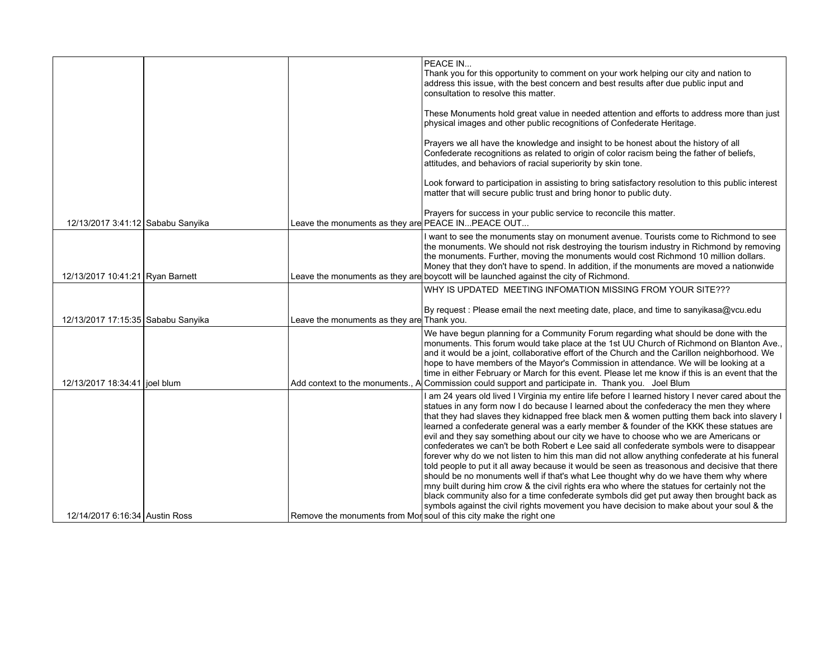|                                    |                                                    | PEACE IN<br>Thank you for this opportunity to comment on your work helping our city and nation to<br>address this issue, with the best concern and best results after due public input and<br>consultation to resolve this matter.                                                                                                                                                                                                                                                                                                                                                                                                                                                                                                                                                                                                                                                                                                                                                                                                                                                                                                                                                                                                      |
|------------------------------------|----------------------------------------------------|-----------------------------------------------------------------------------------------------------------------------------------------------------------------------------------------------------------------------------------------------------------------------------------------------------------------------------------------------------------------------------------------------------------------------------------------------------------------------------------------------------------------------------------------------------------------------------------------------------------------------------------------------------------------------------------------------------------------------------------------------------------------------------------------------------------------------------------------------------------------------------------------------------------------------------------------------------------------------------------------------------------------------------------------------------------------------------------------------------------------------------------------------------------------------------------------------------------------------------------------|
|                                    |                                                    | These Monuments hold great value in needed attention and efforts to address more than just<br>physical images and other public recognitions of Confederate Heritage.                                                                                                                                                                                                                                                                                                                                                                                                                                                                                                                                                                                                                                                                                                                                                                                                                                                                                                                                                                                                                                                                    |
|                                    |                                                    | Prayers we all have the knowledge and insight to be honest about the history of all<br>Confederate recognitions as related to origin of color racism being the father of beliefs,<br>attitudes, and behaviors of racial superiority by skin tone.                                                                                                                                                                                                                                                                                                                                                                                                                                                                                                                                                                                                                                                                                                                                                                                                                                                                                                                                                                                       |
|                                    |                                                    | Look forward to participation in assisting to bring satisfactory resolution to this public interest<br>matter that will secure public trust and bring honor to public duty.                                                                                                                                                                                                                                                                                                                                                                                                                                                                                                                                                                                                                                                                                                                                                                                                                                                                                                                                                                                                                                                             |
| 12/13/2017 3:41:12 Sababu Sanyika  | Leave the monuments as they are PEACE IN PEACE OUT | Prayers for success in your public service to reconcile this matter.                                                                                                                                                                                                                                                                                                                                                                                                                                                                                                                                                                                                                                                                                                                                                                                                                                                                                                                                                                                                                                                                                                                                                                    |
| 12/13/2017 10:41:21 Ryan Barnett   |                                                    | I want to see the monuments stay on monument avenue. Tourists come to Richmond to see<br>the monuments. We should not risk destroying the tourism industry in Richmond by removing<br>the monuments. Further, moving the monuments would cost Richmond 10 million dollars.<br>Money that they don't have to spend. In addition, if the monuments are moved a nationwide<br>Leave the monuments as they are boycott will be launched against the city of Richmond.                                                                                                                                                                                                                                                                                                                                                                                                                                                                                                                                                                                                                                                                                                                                                                       |
|                                    |                                                    | WHY IS UPDATED MEETING INFOMATION MISSING FROM YOUR SITE???                                                                                                                                                                                                                                                                                                                                                                                                                                                                                                                                                                                                                                                                                                                                                                                                                                                                                                                                                                                                                                                                                                                                                                             |
| 12/13/2017 17:15:35 Sababu Sanyika | Leave the monuments as they are Thank you.         | By request : Please email the next meeting date, place, and time to sanyikasa@vcu.edu                                                                                                                                                                                                                                                                                                                                                                                                                                                                                                                                                                                                                                                                                                                                                                                                                                                                                                                                                                                                                                                                                                                                                   |
| 12/13/2017 18:34:41 joel blum      | Add context to the monuments., A                   | We have begun planning for a Community Forum regarding what should be done with the<br>monuments. This forum would take place at the 1st UU Church of Richmond on Blanton Ave.,<br>and it would be a joint, collaborative effort of the Church and the Carillon neighborhood. We<br>hope to have members of the Mayor's Commission in attendance. We will be looking at a<br>time in either February or March for this event. Please let me know if this is an event that the<br>Commission could support and participate in. Thank you. Joel Blum                                                                                                                                                                                                                                                                                                                                                                                                                                                                                                                                                                                                                                                                                      |
| 12/14/2017 6:16:34 Austin Ross     |                                                    | I am 24 years old lived I Virginia my entire life before I learned history I never cared about the<br>statues in any form now I do because I learned about the confederacy the men they where<br>that they had slaves they kidnapped free black men & women putting them back into slavery I<br>learned a confederate general was a early member & founder of the KKK these statues are<br>evil and they say something about our city we have to choose who we are Americans or<br>confederates we can't be both Robert e Lee said all confederate symbols were to disappear<br>forever why do we not listen to him this man did not allow anything confederate at his funeral<br>told people to put it all away because it would be seen as treasonous and decisive that there<br>should be no monuments well if that's what Lee thought why do we have them why where<br>mny built during him crow & the civil rights era who where the statues for certainly not the<br>black community also for a time confederate symbols did get put away then brought back as<br>symbols against the civil rights movement you have decision to make about your soul & the<br>Remove the monuments from Mor soul of this city make the right one |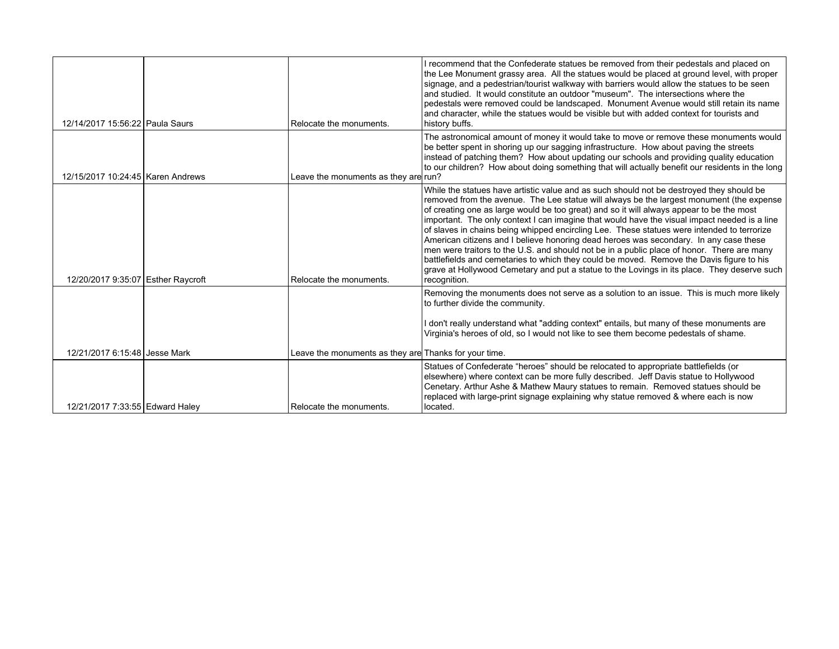| 12/14/2017 15:56:22 Paula Saurs    | Relocate the monuments.                               | I recommend that the Confederate statues be removed from their pedestals and placed on<br>the Lee Monument grassy area. All the statues would be placed at ground level, with proper<br>signage, and a pedestrian/tourist walkway with barriers would allow the statues to be seen<br>and studied. It would constitute an outdoor "museum". The intersections where the<br>pedestals were removed could be landscaped. Monument Avenue would still retain its name<br>and character, while the statues would be visible but with added context for tourists and<br>history buffs.                                                                                                                                                                                                                                                                                                |
|------------------------------------|-------------------------------------------------------|----------------------------------------------------------------------------------------------------------------------------------------------------------------------------------------------------------------------------------------------------------------------------------------------------------------------------------------------------------------------------------------------------------------------------------------------------------------------------------------------------------------------------------------------------------------------------------------------------------------------------------------------------------------------------------------------------------------------------------------------------------------------------------------------------------------------------------------------------------------------------------|
| 12/15/2017 10:24:45 Karen Andrews  | Leave the monuments as they are run?                  | The astronomical amount of money it would take to move or remove these monuments would<br>be better spent in shoring up our sagging infrastructure. How about paving the streets<br>instead of patching them? How about updating our schools and providing quality education<br>to our children? How about doing something that will actually benefit our residents in the long                                                                                                                                                                                                                                                                                                                                                                                                                                                                                                  |
| 12/20/2017 9:35:07 Esther Raycroft | Relocate the monuments.                               | While the statues have artistic value and as such should not be destroyed they should be<br>removed from the avenue. The Lee statue will always be the largest monument (the expense<br>of creating one as large would be too great) and so it will always appear to be the most<br>important. The only context I can imagine that would have the visual impact needed is a line<br>of slaves in chains being whipped encircling Lee. These statues were intended to terrorize<br>American citizens and I believe honoring dead heroes was secondary. In any case these<br>men were traitors to the U.S. and should not be in a public place of honor. There are many<br>battlefields and cemetaries to which they could be moved. Remove the Davis figure to his<br>grave at Hollywood Cemetary and put a statue to the Lovings in its place. They deserve such<br>recognition. |
|                                    |                                                       | Removing the monuments does not serve as a solution to an issue. This is much more likely<br>to further divide the community.<br>I don't really understand what "adding context" entails, but many of these monuments are<br>Virginia's heroes of old, so I would not like to see them become pedestals of shame.                                                                                                                                                                                                                                                                                                                                                                                                                                                                                                                                                                |
| 12/21/2017 6:15:48 Jesse Mark      | Leave the monuments as they are Thanks for your time. |                                                                                                                                                                                                                                                                                                                                                                                                                                                                                                                                                                                                                                                                                                                                                                                                                                                                                  |
| 12/21/2017 7:33:55 Edward Haley    | Relocate the monuments.                               | Statues of Confederate "heroes" should be relocated to appropriate battlefields (or<br>elsewhere) where context can be more fully described. Jeff Davis statue to Hollywood<br>Cenetary. Arthur Ashe & Mathew Maury statues to remain. Removed statues should be<br>replaced with large-print signage explaining why statue removed & where each is now<br>located.                                                                                                                                                                                                                                                                                                                                                                                                                                                                                                              |